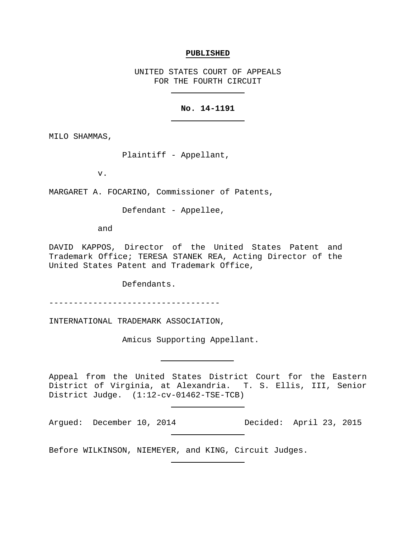## **PUBLISHED**

UNITED STATES COURT OF APPEALS FOR THE FOURTH CIRCUIT

# **No. 14-1191**

MILO SHAMMAS,

Plaintiff - Appellant,

v.

MARGARET A. FOCARINO, Commissioner of Patents,

Defendant - Appellee,

and

DAVID KAPPOS, Director of the United States Patent and Trademark Office; TERESA STANEK REA, Acting Director of the United States Patent and Trademark Office,

Defendants.

-----------------------------------

INTERNATIONAL TRADEMARK ASSOCIATION,

Amicus Supporting Appellant.

Appeal from the United States District Court for the Eastern District of Virginia, at Alexandria. T. S. Ellis, III, Senior District Judge. (1:12-cv-01462-TSE-TCB)

Argued: December 10, 2014 Decided: April 23, 2015

Before WILKINSON, NIEMEYER, and KING, Circuit Judges.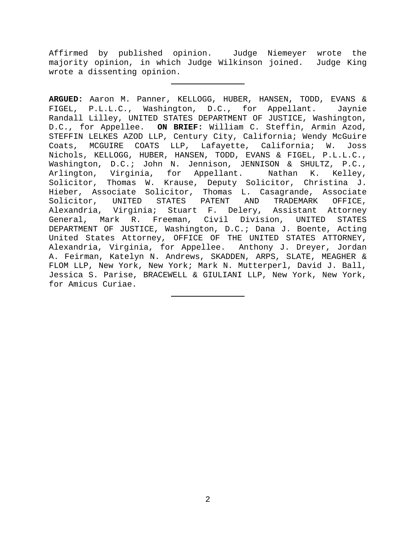Affirmed by published opinion. Judge Niemeyer wrote the majority opinion, in which Judge Wilkinson joined. Judge King wrote a dissenting opinion.

**ARGUED:** Aaron M. Panner, KELLOGG, HUBER, HANSEN, TODD, EVANS & FIGEL, P.L.L.C., Washington, D.C., for Appellant. Jaynie Randall Lilley, UNITED STATES DEPARTMENT OF JUSTICE, Washington, D.C., for Appellee. **ON BRIEF:** William C. Steffin, Armin Azod, STEFFIN LELKES AZOD LLP, Century City, California; Wendy McGuire Coats, MCGUIRE COATS LLP, Lafayette, California; W. Joss Nichols, KELLOGG, HUBER, HANSEN, TODD, EVANS & FIGEL, P.L.L.C., Washington, D.C.; John N. Jennison, JENNISON & SHULTZ, P.C.,<br>Arlington, Virginia, for Appellant. Nathan K. Kelley, Arlington, Virginia, for Appellant. Solicitor, Thomas W. Krause, Deputy Solicitor, Christina J. Hieber, Associate Solicitor, Thomas L. Casagrande, Associate Solicitor, UNITED STATES PATENT AND TRADEMARK OFFICE, Alexandria, Virginia; Stuart F. Delery, Assistant Attorney<br>General, Mark R. Freeman, Civil Division, UNITED STATES General, Mark R. Freeman, Civil Division, UNITED DEPARTMENT OF JUSTICE, Washington, D.C.; Dana J. Boente, Acting United States Attorney, OFFICE OF THE UNITED STATES ATTORNEY, Alexandria, Virginia, for Appellee. Anthony J. Dreyer, Jordan A. Feirman, Katelyn N. Andrews, SKADDEN, ARPS, SLATE, MEAGHER & FLOM LLP, New York, New York; Mark N. Mutterperl, David J. Ball, Jessica S. Parise, BRACEWELL & GIULIANI LLP, New York, New York, for Amicus Curiae.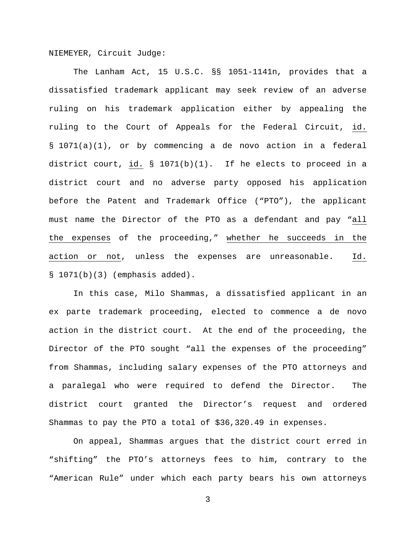NIEMEYER, Circuit Judge:

The Lanham Act, 15 U.S.C. §§ 1051-1141n, provides that a dissatisfied trademark applicant may seek review of an adverse ruling on his trademark application either by appealing the ruling to the Court of Appeals for the Federal Circuit, id. § 1071(a)(1), or by commencing a de novo action in a federal district court, id. § 1071(b)(1). If he elects to proceed in a district court and no adverse party opposed his application before the Patent and Trademark Office ("PTO"), the applicant must name the Director of the PTO as a defendant and pay "all the expenses of the proceeding," whether he succeeds in the action or not, unless the expenses are unreasonable. Id.  $$1071(b)(3)$  (emphasis added).

In this case, Milo Shammas, a dissatisfied applicant in an ex parte trademark proceeding, elected to commence a de novo action in the district court. At the end of the proceeding, the Director of the PTO sought "all the expenses of the proceeding" from Shammas, including salary expenses of the PTO attorneys and a paralegal who were required to defend the Director. The district court granted the Director's request and ordered Shammas to pay the PTO a total of \$36,320.49 in expenses.

On appeal, Shammas argues that the district court erred in "shifting" the PTO's attorneys fees to him, contrary to the "American Rule" under which each party bears his own attorneys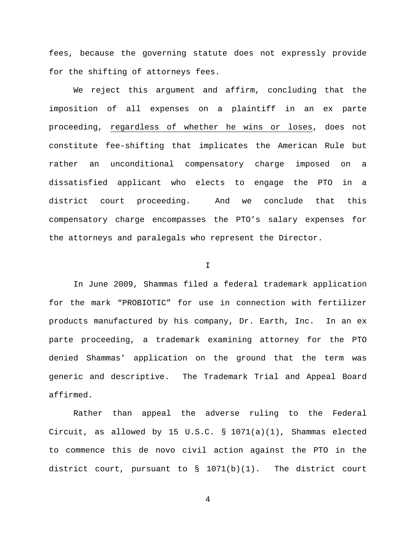fees, because the governing statute does not expressly provide for the shifting of attorneys fees.

We reject this argument and affirm, concluding that the imposition of all expenses on a plaintiff in an ex parte proceeding, regardless of whether he wins or loses, does not constitute fee-shifting that implicates the American Rule but rather an unconditional compensatory charge imposed on a dissatisfied applicant who elects to engage the PTO in a district court proceeding. And we conclude that this compensatory charge encompasses the PTO's salary expenses for the attorneys and paralegals who represent the Director.

I

In June 2009, Shammas filed a federal trademark application for the mark "PROBIOTIC" for use in connection with fertilizer products manufactured by his company, Dr. Earth, Inc. In an ex parte proceeding, a trademark examining attorney for the PTO denied Shammas' application on the ground that the term was generic and descriptive. The Trademark Trial and Appeal Board affirmed.

Rather than appeal the adverse ruling to the Federal Circuit, as allowed by 15 U.S.C.  $\S$  1071(a)(1), Shammas elected to commence this de novo civil action against the PTO in the district court, pursuant to  $\S$  1071(b)(1). The district court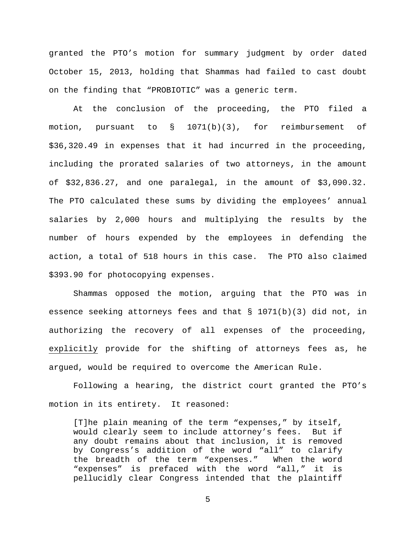granted the PTO's motion for summary judgment by order dated October 15, 2013, holding that Shammas had failed to cast doubt on the finding that "PROBIOTIC" was a generic term.

At the conclusion of the proceeding, the PTO filed a motion, pursuant to § 1071(b)(3), for reimbursement of \$36,320.49 in expenses that it had incurred in the proceeding, including the prorated salaries of two attorneys, in the amount of \$32,836.27, and one paralegal, in the amount of \$3,090.32. The PTO calculated these sums by dividing the employees' annual salaries by 2,000 hours and multiplying the results by the number of hours expended by the employees in defending the action, a total of 518 hours in this case. The PTO also claimed \$393.90 for photocopying expenses.

Shammas opposed the motion, arguing that the PTO was in essence seeking attorneys fees and that § 1071(b)(3) did not, in authorizing the recovery of all expenses of the proceeding, explicitly provide for the shifting of attorneys fees as, he argued, would be required to overcome the American Rule.

Following a hearing, the district court granted the PTO's motion in its entirety. It reasoned:

[T]he plain meaning of the term "expenses," by itself, would clearly seem to include attorney's fees. But if any doubt remains about that inclusion, it is removed by Congress's addition of the word "all" to clarify the breadth of the term "expenses." When the word "expenses" is prefaced with the word "all," it is pellucidly clear Congress intended that the plaintiff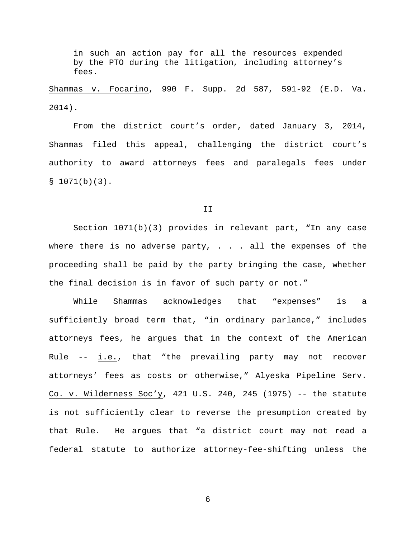in such an action pay for all the resources expended by the PTO during the litigation, including attorney's fees.

Shammas v. Focarino, 990 F. Supp. 2d 587, 591-92 (E.D. Va. 2014).

From the district court's order, dated January 3, 2014, Shammas filed this appeal, challenging the district court's authority to award attorneys fees and paralegals fees under  $$1071(b)(3).$ 

## II

Section 1071(b)(3) provides in relevant part, "In any case where there is no adverse party,  $\ldots$  all the expenses of the proceeding shall be paid by the party bringing the case, whether the final decision is in favor of such party or not."

While Shammas acknowledges that "expenses" is a sufficiently broad term that, "in ordinary parlance," includes attorneys fees, he argues that in the context of the American Rule -- i.e., that "the prevailing party may not recover attorneys' fees as costs or otherwise," Alyeska Pipeline Serv. Co. v. Wilderness Soc'y, 421 U.S. 240, 245 (1975) -- the statute is not sufficiently clear to reverse the presumption created by that Rule. He argues that "a district court may not read a federal statute to authorize attorney-fee-shifting unless the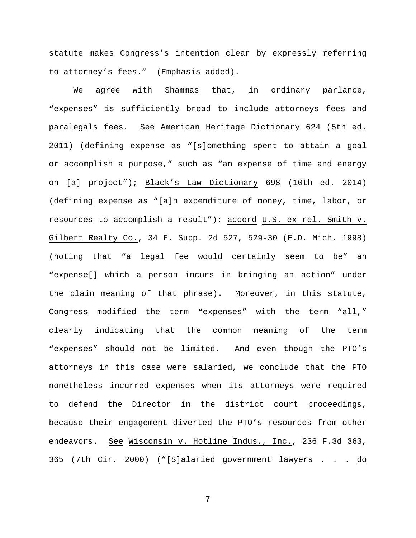statute makes Congress's intention clear by expressly referring to attorney's fees." (Emphasis added).

We agree with Shammas that, in ordinary parlance, "expenses" is sufficiently broad to include attorneys fees and paralegals fees. See American Heritage Dictionary 624 (5th ed. 2011) (defining expense as "[s]omething spent to attain a goal or accomplish a purpose," such as "an expense of time and energy on [a] project"); Black's Law Dictionary 698 (10th ed. 2014) (defining expense as "[a]n expenditure of money, time, labor, or resources to accomplish a result"); accord U.S. ex rel. Smith v. Gilbert Realty Co., 34 F. Supp. 2d 527, 529-30 (E.D. Mich. 1998) (noting that "a legal fee would certainly seem to be" an "expense[] which a person incurs in bringing an action" under the plain meaning of that phrase). Moreover, in this statute, Congress modified the term "expenses" with the term "all," clearly indicating that the common meaning of the term "expenses" should not be limited. And even though the PTO's attorneys in this case were salaried, we conclude that the PTO nonetheless incurred expenses when its attorneys were required to defend the Director in the district court proceedings, because their engagement diverted the PTO's resources from other endeavors. See Wisconsin v. Hotline Indus., Inc., 236 F.3d 363, 365 (7th Cir. 2000) ("[S]alaried government lawyers . . . do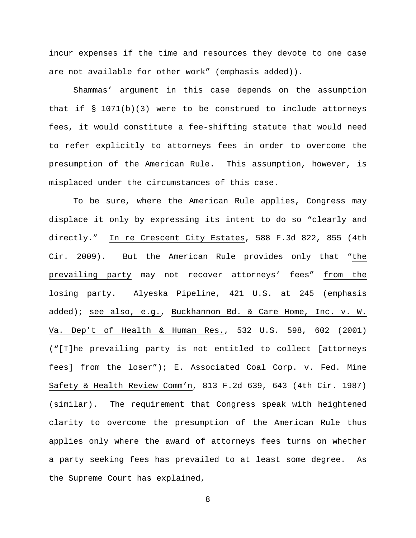incur expenses if the time and resources they devote to one case are not available for other work" (emphasis added)).

Shammas' argument in this case depends on the assumption that if  $\S$  1071(b)(3) were to be construed to include attorneys fees, it would constitute a fee-shifting statute that would need to refer explicitly to attorneys fees in order to overcome the presumption of the American Rule. This assumption, however, is misplaced under the circumstances of this case.

To be sure, where the American Rule applies, Congress may displace it only by expressing its intent to do so "clearly and directly." In re Crescent City Estates, 588 F.3d 822, 855 (4th Cir. 2009). But the American Rule provides only that "the prevailing party may not recover attorneys' fees" from the losing party. Alyeska Pipeline, 421 U.S. at 245 (emphasis added); see also, e.g., Buckhannon Bd. & Care Home, Inc. v. W. Va. Dep't of Health & Human Res., 532 U.S. 598, 602 (2001) ("[T]he prevailing party is not entitled to collect [attorneys fees] from the loser"); E. Associated Coal Corp. v. Fed. Mine Safety & Health Review Comm'n, 813 F.2d 639, 643 (4th Cir. 1987) (similar). The requirement that Congress speak with heightened clarity to overcome the presumption of the American Rule thus applies only where the award of attorneys fees turns on whether a party seeking fees has prevailed to at least some degree. As the Supreme Court has explained,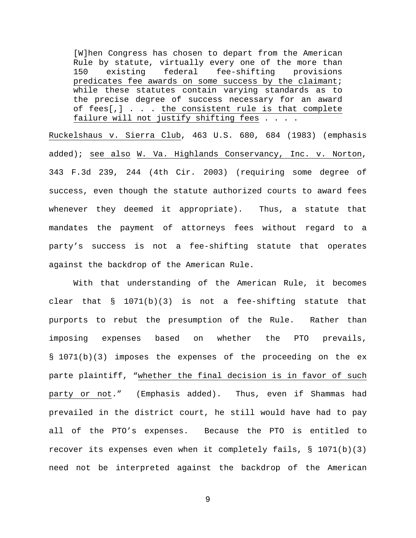[W]hen Congress has chosen to depart from the American Rule by statute, virtually every one of the more than<br>150 existing federal fee-shifting provisions fee-shifting predicates fee awards on some success by the claimant; while these statutes contain varying standards as to the precise degree of success necessary for an award of fees[,] . . . the consistent rule is that complete failure will not justify shifting fees . . . .

Ruckelshaus v. Sierra Club, 463 U.S. 680, 684 (1983) (emphasis added); see also W. Va. Highlands Conservancy, Inc. v. Norton, 343 F.3d 239, 244 (4th Cir. 2003) (requiring some degree of success, even though the statute authorized courts to award fees whenever they deemed it appropriate). Thus, a statute that mandates the payment of attorneys fees without regard to a party's success is not a fee-shifting statute that operates against the backdrop of the American Rule.

With that understanding of the American Rule, it becomes clear that  $\S$  1071(b)(3) is not a fee-shifting statute that purports to rebut the presumption of the Rule. Rather than imposing expenses based on whether the PTO prevails, § 1071(b)(3) imposes the expenses of the proceeding on the ex parte plaintiff, "whether the final decision is in favor of such party or not." (Emphasis added). Thus, even if Shammas had prevailed in the district court, he still would have had to pay all of the PTO's expenses. Because the PTO is entitled to recover its expenses even when it completely fails,  $\S$  1071(b)(3) need not be interpreted against the backdrop of the American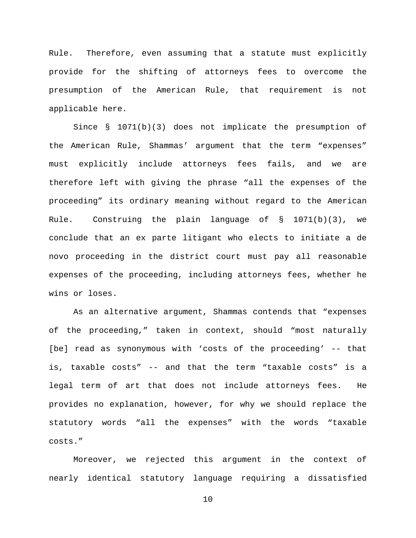Rule. Therefore, even assuming that a statute must explicitly provide for the shifting of attorneys fees to overcome the presumption of the American Rule, that requirement is not applicable here.

Since § 1071(b)(3) does not implicate the presumption of the American Rule, Shammas' argument that the term "expenses" must explicitly include attorneys fees fails, and we are therefore left with giving the phrase "all the expenses of the proceeding" its ordinary meaning without regard to the American Rule. Construing the plain language of  $\S$  1071(b)(3), we conclude that an ex parte litigant who elects to initiate a de novo proceeding in the district court must pay all reasonable expenses of the proceeding, including attorneys fees, whether he wins or loses.

As an alternative argument, Shammas contends that "expenses of the proceeding," taken in context, should "most naturally [be] read as synonymous with 'costs of the proceeding' -- that is, taxable costs" -- and that the term "taxable costs" is a legal term of art that does not include attorneys fees. He provides no explanation, however, for why we should replace the statutory words "all the expenses" with the words "taxable costs."

Moreover, we rejected this argument in the context of nearly identical statutory language requiring a dissatisfied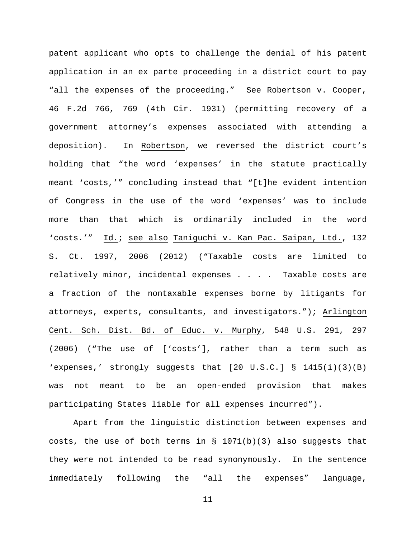patent applicant who opts to challenge the denial of his patent application in an ex parte proceeding in a district court to pay "all the expenses of the proceeding." See Robertson v. Cooper, 46 F.2d 766, 769 (4th Cir. 1931) (permitting recovery of a government attorney's expenses associated with attending a deposition). In Robertson, we reversed the district court's holding that "the word 'expenses' in the statute practically meant 'costs,'" concluding instead that "[t]he evident intention of Congress in the use of the word 'expenses' was to include more than that which is ordinarily included in the word 'costs.'" Id.; see also Taniguchi v. Kan Pac. Saipan, Ltd., 132 S. Ct. 1997, 2006 (2012) ("Taxable costs are limited to relatively minor, incidental expenses . . . . Taxable costs are a fraction of the nontaxable expenses borne by litigants for attorneys, experts, consultants, and investigators."); Arlington Cent. Sch. Dist. Bd. of Educ. v. Murphy, 548 U.S. 291, 297 (2006) ("The use of ['costs'], rather than a term such as 'expenses,' strongly suggests that [20 U.S.C.] § 1415(i)(3)(B) was not meant to be an open-ended provision that makes participating States liable for all expenses incurred").

Apart from the linguistic distinction between expenses and costs, the use of both terms in § 1071(b)(3) also suggests that they were not intended to be read synonymously. In the sentence immediately following the "all the expenses" language,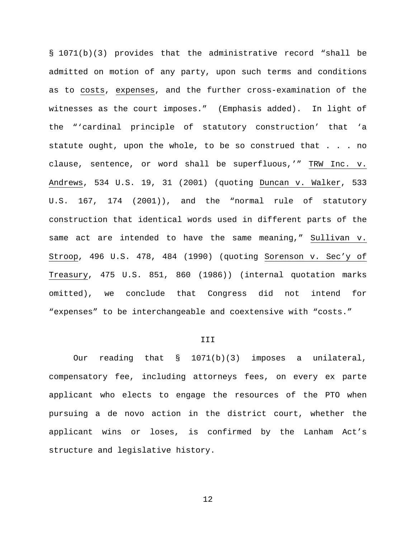§ 1071(b)(3) provides that the administrative record "shall be admitted on motion of any party, upon such terms and conditions as to costs, expenses, and the further cross-examination of the witnesses as the court imposes." (Emphasis added). In light of the "'cardinal principle of statutory construction' that 'a statute ought, upon the whole, to be so construed that . . . no clause, sentence, or word shall be superfluous,'" TRW Inc. v. Andrews, 534 U.S. 19, 31 (2001) (quoting Duncan v. Walker, 533 U.S. 167, 174 (2001)), and the "normal rule of statutory construction that identical words used in different parts of the same act are intended to have the same meaning," Sullivan v. Stroop, 496 U.S. 478, 484 (1990) (quoting Sorenson v. Sec'y of Treasury, 475 U.S. 851, 860 (1986)) (internal quotation marks omitted), we conclude that Congress did not intend for "expenses" to be interchangeable and coextensive with "costs."

# III

Our reading that § 1071(b)(3) imposes a unilateral, compensatory fee, including attorneys fees, on every ex parte applicant who elects to engage the resources of the PTO when pursuing a de novo action in the district court, whether the applicant wins or loses, is confirmed by the Lanham Act's structure and legislative history.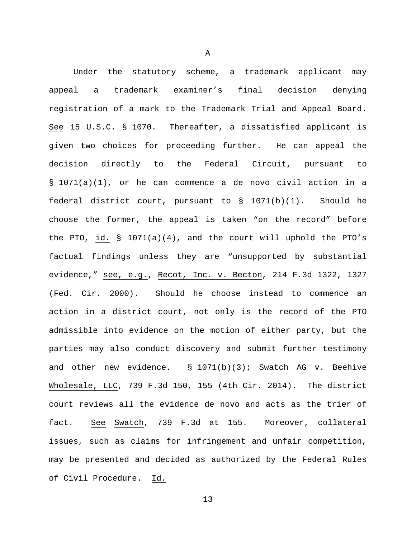Under the statutory scheme, a trademark applicant may appeal a trademark examiner's final decision denying registration of a mark to the Trademark Trial and Appeal Board. See 15 U.S.C. § 1070. Thereafter, a dissatisfied applicant is given two choices for proceeding further. He can appeal the decision directly to the Federal Circuit, pursuant to § 1071(a)(1), or he can commence a de novo civil action in a federal district court, pursuant to § 1071(b)(1). Should he choose the former, the appeal is taken "on the record" before the PTO, id. § 1071(a)(4), and the court will uphold the PTO's factual findings unless they are "unsupported by substantial evidence," see, e.g., Recot, Inc. v. Becton, 214 F.3d 1322, 1327 (Fed. Cir. 2000). Should he choose instead to commence an action in a district court, not only is the record of the PTO admissible into evidence on the motion of either party, but the parties may also conduct discovery and submit further testimony and other new evidence.  $\S$  1071(b)(3); Swatch AG v. Beehive Wholesale, LLC, 739 F.3d 150, 155 (4th Cir. 2014). The district court reviews all the evidence de novo and acts as the trier of fact. See Swatch, 739 F.3d at 155. Moreover, collateral issues, such as claims for infringement and unfair competition, may be presented and decided as authorized by the Federal Rules of Civil Procedure. Id.

A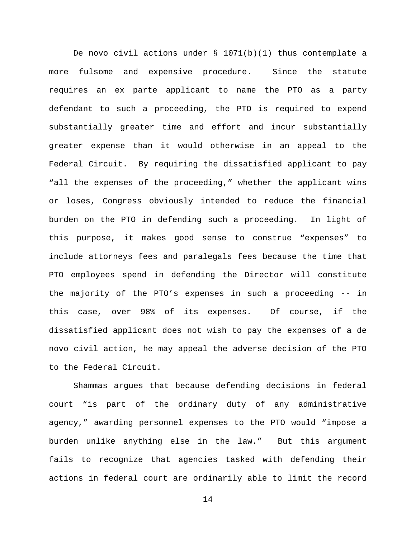De novo civil actions under  $\S$  1071(b)(1) thus contemplate a more fulsome and expensive procedure. Since the statute requires an ex parte applicant to name the PTO as a party defendant to such a proceeding, the PTO is required to expend substantially greater time and effort and incur substantially greater expense than it would otherwise in an appeal to the Federal Circuit. By requiring the dissatisfied applicant to pay "all the expenses of the proceeding," whether the applicant wins or loses, Congress obviously intended to reduce the financial burden on the PTO in defending such a proceeding. In light of this purpose, it makes good sense to construe "expenses" to include attorneys fees and paralegals fees because the time that PTO employees spend in defending the Director will constitute the majority of the PTO's expenses in such a proceeding -- in this case, over 98% of its expenses. Of course, if the dissatisfied applicant does not wish to pay the expenses of a de novo civil action, he may appeal the adverse decision of the PTO to the Federal Circuit.

Shammas argues that because defending decisions in federal court "is part of the ordinary duty of any administrative agency," awarding personnel expenses to the PTO would "impose a burden unlike anything else in the law." But this argument fails to recognize that agencies tasked with defending their actions in federal court are ordinarily able to limit the record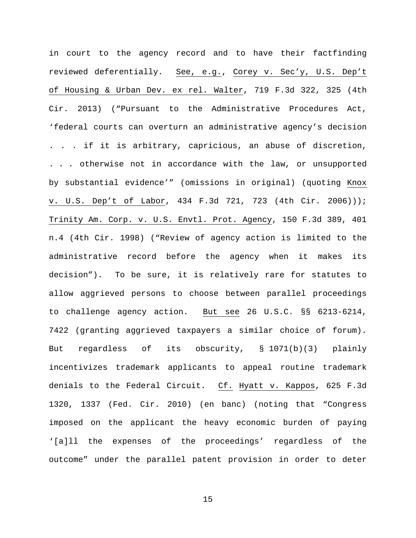in court to the agency record and to have their factfinding reviewed deferentially. See, e.g., Corey v. Sec'y, U.S. Dep't of Housing & Urban Dev. ex rel. Walter, 719 F.3d 322, 325 (4th Cir. 2013) ("Pursuant to the Administrative Procedures Act, 'federal courts can overturn an administrative agency's decision . . . if it is arbitrary, capricious, an abuse of discretion, . . . otherwise not in accordance with the law, or unsupported by substantial evidence'" (omissions in original) (quoting Knox v. U.S. Dep't of Labor, 434 F.3d 721, 723 (4th Cir. 2006))); Trinity Am. Corp. v. U.S. Envtl. Prot. Agency, 150 F.3d 389, 401 n.4 (4th Cir. 1998) ("Review of agency action is limited to the administrative record before the agency when it makes its decision"). To be sure, it is relatively rare for statutes to allow aggrieved persons to choose between parallel proceedings to challenge agency action. But see 26 U.S.C. §§ 6213-6214, 7422 (granting aggrieved taxpayers a similar choice of forum). But regardless of its obscurity, § 1071(b)(3) plainly incentivizes trademark applicants to appeal routine trademark denials to the Federal Circuit. Cf. Hyatt v. Kappos, 625 F.3d 1320, 1337 (Fed. Cir. 2010) (en banc) (noting that "Congress imposed on the applicant the heavy economic burden of paying '[a]ll the expenses of the proceedings' regardless of the outcome" under the parallel patent provision in order to deter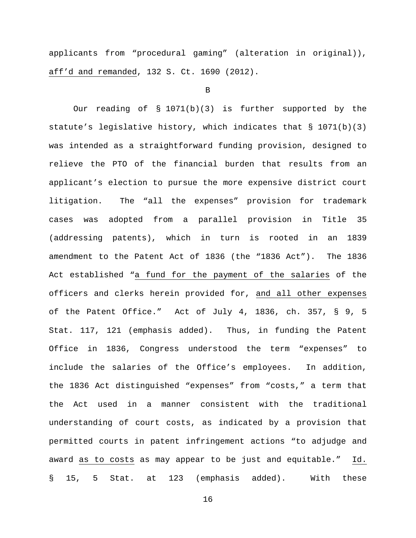applicants from "procedural gaming" (alteration in original)), aff'd and remanded, 132 S. Ct. 1690 (2012).

B

Our reading of § 1071(b)(3) is further supported by the statute's legislative history, which indicates that  $\S$  1071(b)(3) was intended as a straightforward funding provision, designed to relieve the PTO of the financial burden that results from an applicant's election to pursue the more expensive district court litigation. The "all the expenses" provision for trademark cases was adopted from a parallel provision in Title 35 (addressing patents), which in turn is rooted in an 1839 amendment to the Patent Act of 1836 (the "1836 Act"). The 1836 Act established "a fund for the payment of the salaries of the officers and clerks herein provided for, and all other expenses of the Patent Office." Act of July 4, 1836, ch. 357, § 9, 5 Stat. 117, 121 (emphasis added). Thus, in funding the Patent Office in 1836, Congress understood the term "expenses" to include the salaries of the Office's employees. In addition, the 1836 Act distinguished "expenses" from "costs," a term that the Act used in a manner consistent with the traditional understanding of court costs, as indicated by a provision that permitted courts in patent infringement actions "to adjudge and award as to costs as may appear to be just and equitable." Id. § 15, 5 Stat. at 123 (emphasis added). With these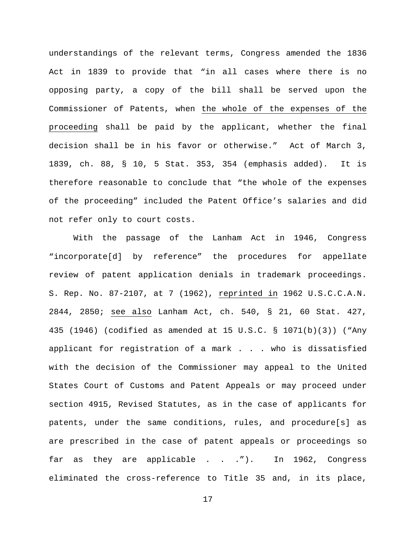understandings of the relevant terms, Congress amended the 1836 Act in 1839 to provide that "in all cases where there is no opposing party, a copy of the bill shall be served upon the Commissioner of Patents, when the whole of the expenses of the proceeding shall be paid by the applicant, whether the final decision shall be in his favor or otherwise." Act of March 3, 1839, ch. 88, § 10, 5 Stat. 353, 354 (emphasis added). It is therefore reasonable to conclude that "the whole of the expenses of the proceeding" included the Patent Office's salaries and did not refer only to court costs.

With the passage of the Lanham Act in 1946, Congress "incorporate[d] by reference" the procedures for appellate review of patent application denials in trademark proceedings. S. Rep. No. 87-2107, at 7 (1962), reprinted in 1962 U.S.C.C.A.N. 2844, 2850; see also Lanham Act, ch. 540, § 21, 60 Stat. 427, 435 (1946) (codified as amended at 15 U.S.C. § 1071(b)(3)) ("Any applicant for registration of a mark . . . who is dissatisfied with the decision of the Commissioner may appeal to the United States Court of Customs and Patent Appeals or may proceed under section 4915, Revised Statutes, as in the case of applicants for patents, under the same conditions, rules, and procedure[s] as are prescribed in the case of patent appeals or proceedings so far as they are applicable . . ."). In 1962, Congress eliminated the cross-reference to Title 35 and, in its place,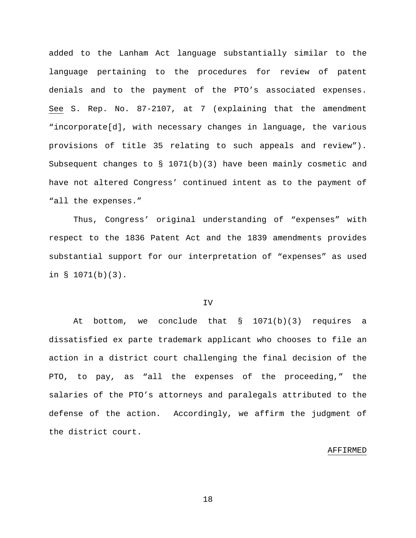added to the Lanham Act language substantially similar to the language pertaining to the procedures for review of patent denials and to the payment of the PTO's associated expenses. See S. Rep. No. 87-2107, at 7 (explaining that the amendment "incorporate[d], with necessary changes in language, the various provisions of title 35 relating to such appeals and review"). Subsequent changes to § 1071(b)(3) have been mainly cosmetic and have not altered Congress' continued intent as to the payment of "all the expenses."

Thus, Congress' original understanding of "expenses" with respect to the 1836 Patent Act and the 1839 amendments provides substantial support for our interpretation of "expenses" as used in § 1071(b)(3).

## IV

At bottom, we conclude that  $\S$  1071(b)(3) requires a dissatisfied ex parte trademark applicant who chooses to file an action in a district court challenging the final decision of the PTO, to pay, as "all the expenses of the proceeding," the salaries of the PTO's attorneys and paralegals attributed to the defense of the action. Accordingly, we affirm the judgment of the district court.

#### AFFIRMED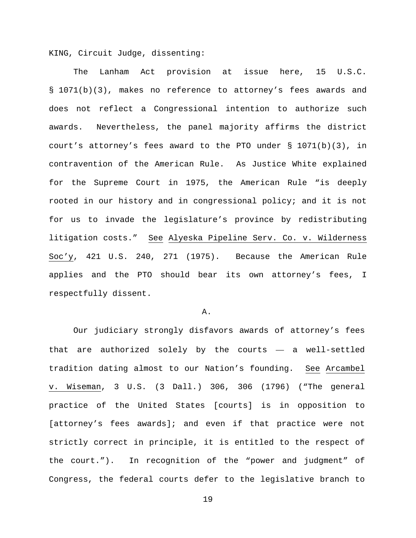KING, Circuit Judge, dissenting:

The Lanham Act provision at issue here, 15 U.S.C. § 1071(b)(3), makes no reference to attorney's fees awards and does not reflect a Congressional intention to authorize such awards. Nevertheless, the panel majority affirms the district court's attorney's fees award to the PTO under § 1071(b)(3), in contravention of the American Rule. As Justice White explained for the Supreme Court in 1975, the American Rule "is deeply rooted in our history and in congressional policy; and it is not for us to invade the legislature's province by redistributing litigation costs." See Alyeska Pipeline Serv. Co. v. Wilderness Soc'y, 421 U.S. 240, 271 (1975). Because the American Rule applies and the PTO should bear its own attorney's fees, I respectfully dissent.

### A.

Our judiciary strongly disfavors awards of attorney's fees that are authorized solely by the courts — a well-settled tradition dating almost to our Nation's founding. See Arcambel v. Wiseman, 3 U.S. (3 Dall.) 306, 306 (1796) ("The general practice of the United States [courts] is in opposition to [attorney's fees awards]; and even if that practice were not strictly correct in principle, it is entitled to the respect of the court."). In recognition of the "power and judgment" of Congress, the federal courts defer to the legislative branch to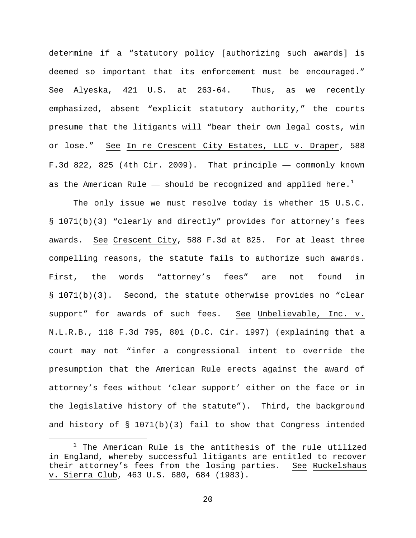determine if a "statutory policy [authorizing such awards] is deemed so important that its enforcement must be encouraged." See Alyeska, 421 U.S. at 263-64. Thus, as we recently emphasized, absent "explicit statutory authority," the courts presume that the litigants will "bear their own legal costs, win or lose." See In re Crescent City Estates, LLC v. Draper, 588 F.3d 822, 825 (4th Cir. 2009). That principle — commonly known as the American Rule  $-$  should be recognized and applied here.<sup>[1](#page-19-0)</sup>

The only issue we must resolve today is whether 15 U.S.C. § 1071(b)(3) "clearly and directly" provides for attorney's fees awards. See Crescent City, 588 F.3d at 825. For at least three compelling reasons, the statute fails to authorize such awards. First, the words "attorney's fees" are not found in § 1071(b)(3). Second, the statute otherwise provides no "clear support" for awards of such fees. See Unbelievable, Inc. v. N.L.R.B., 118 F.3d 795, 801 (D.C. Cir. 1997) (explaining that a court may not "infer a congressional intent to override the presumption that the American Rule erects against the award of attorney's fees without 'clear support' either on the face or in the legislative history of the statute"). Third, the background and history of § 1071(b)(3) fail to show that Congress intended

<span id="page-19-0"></span> $1$  The American Rule is the antithesis of the rule utilized in England, whereby successful litigants are entitled to recover their attorney's fees from the losing parties. See Ruckelshaus v. Sierra Club, 463 U.S. 680, 684 (1983).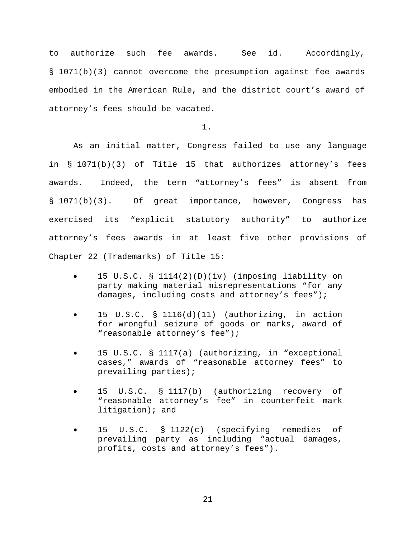to authorize such fee awards. See id. Accordingly, § 1071(b)(3) cannot overcome the presumption against fee awards embodied in the American Rule, and the district court's award of attorney's fees should be vacated.

1.

As an initial matter, Congress failed to use any language in § 1071(b)(3) of Title 15 that authorizes attorney's fees awards. Indeed, the term "attorney's fees" is absent from § 1071(b)(3). Of great importance, however, Congress has exercised its "explicit statutory authority" to authorize attorney's fees awards in at least five other provisions of Chapter 22 (Trademarks) of Title 15:

- 15 U.S.C. § 1114(2)(D)(iv) (imposing liability on party making material misrepresentations "for any damages, including costs and attorney's fees");
- 15 U.S.C. § 1116(d)(11) (authorizing, in action for wrongful seizure of goods or marks, award of "reasonable attorney's fee");
- 15 U.S.C. § 1117(a) (authorizing, in "exceptional cases," awards of "reasonable attorney fees" to prevailing parties);
- 15 U.S.C. § 1117(b) (authorizing recovery of "reasonable attorney's fee" in counterfeit mark litigation); and
- 15 U.S.C. § 1122(c) (specifying remedies of prevailing party as including "actual damages, profits, costs and attorney's fees").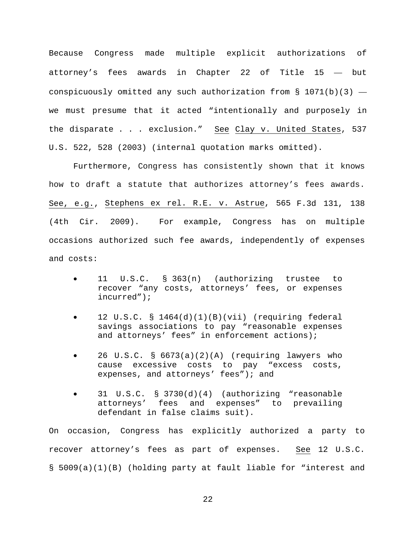Because Congress made multiple explicit authorizations of attorney's fees awards in Chapter 22 of Title 15 — but conspicuously omitted any such authorization from § 1071(b)(3)  $$ we must presume that it acted "intentionally and purposely in the disparate . . . exclusion." See Clay v. United States, 537 U.S. 522, 528 (2003) (internal quotation marks omitted).

Furthermore, Congress has consistently shown that it knows how to draft a statute that authorizes attorney's fees awards. See, e.g., Stephens ex rel. R.E. v. Astrue, 565 F.3d 131, 138 (4th Cir. 2009). For example, Congress has on multiple occasions authorized such fee awards, independently of expenses and costs:

- 11 U.S.C. § 363(n) (authorizing trustee to recover "any costs, attorneys' fees, or expenses incurred");
- 12 U.S.C. § 1464(d)(1)(B)(vii) (requiring federal savings associations to pay "reasonable expenses and attorneys' fees" in enforcement actions);
- 26 U.S.C. § 6673(a)(2)(A) (requiring lawyers who cause excessive costs to pay "excess costs, expenses, and attorneys' fees"); and
- 31 U.S.C. § 3730(d)(4) (authorizing "reasonable attorneys' fees and expenses" to prevailing defendant in false claims suit).

On occasion, Congress has explicitly authorized a party to recover attorney's fees as part of expenses. See 12 U.S.C. § 5009(a)(1)(B) (holding party at fault liable for "interest and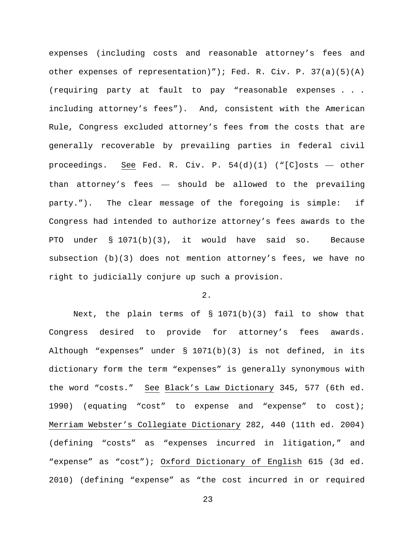expenses (including costs and reasonable attorney's fees and other expenses of representation)"); Fed. R. Civ. P.  $37(a)(5)(A)$ (requiring party at fault to pay "reasonable expenses . . . including attorney's fees"). And, consistent with the American Rule, Congress excluded attorney's fees from the costs that are generally recoverable by prevailing parties in federal civil proceedings. See Fed. R. Civ. P. 54(d)(1) ("[C]osts — other than attorney's fees — should be allowed to the prevailing party."). The clear message of the foregoing is simple: if Congress had intended to authorize attorney's fees awards to the PTO under § 1071(b)(3), it would have said so. Because subsection (b)(3) does not mention attorney's fees, we have no right to judicially conjure up such a provision.

# 2.

Next, the plain terms of § 1071(b)(3) fail to show that Congress desired to provide for attorney's fees awards. Although "expenses" under § 1071(b)(3) is not defined, in its dictionary form the term "expenses" is generally synonymous with the word "costs." See Black's Law Dictionary 345, 577 (6th ed. 1990) (equating "cost" to expense and "expense" to cost); Merriam Webster's Collegiate Dictionary 282, 440 (11th ed. 2004) (defining "costs" as "expenses incurred in litigation," and "expense" as "cost"); Oxford Dictionary of English 615 (3d ed. 2010) (defining "expense" as "the cost incurred in or required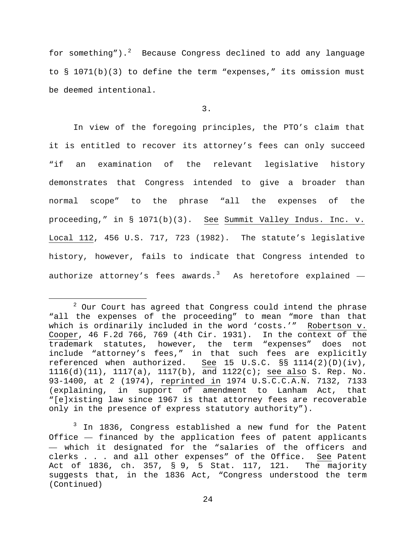for something").<sup>[2](#page-23-0)</sup> Because Congress declined to add any language to § 1071(b)(3) to define the term "expenses," its omission must be deemed intentional.

3.

In view of the foregoing principles, the PTO's claim that it is entitled to recover its attorney's fees can only succeed "if an examination of the relevant legislative history demonstrates that Congress intended to give a broader than normal scope" to the phrase "all the expenses of the proceeding," in § 1071(b)(3). See Summit Valley Indus. Inc. v. Local 112, 456 U.S. 717, 723 (1982). The statute's legislative history, however, fails to indicate that Congress intended to authorize attorney's fees awards. $^3$  $^3$  As heretofore explained  $-$ 

<span id="page-23-1"></span><sup>3</sup> In 1836, Congress established a new fund for the Patent Office — financed by the application fees of patent applicants — which it designated for the "salaries of the officers and clerks . . . and all other expenses" of the Office. See Patent<br>Act of 1836, ch. 357, § 9, 5 Stat. 117, 121. The majority Act of 1836, ch. 357, § 9, 5 Stat. 117, 121. suggests that, in the 1836 Act, "Congress understood the term (Continued)

<span id="page-23-0"></span> $2$  Our Court has agreed that Congress could intend the phrase "all the expenses of the proceeding" to mean "more than that which is ordinarily included in the word 'costs.'" Robertson v. Cooper, 46 F.2d 766, 769 (4th Cir. 1931). In the context of the trademark statutes, however, the term "expenses" does not include "attorney's fees," in that such fees are explicitly referenced when authorized. See 15 U.S.C. §§ 1114(2)(D)(iv), 1116(d)(11), 1117(a), 1117(b), and 1122(c); see also S. Rep. No. 93-1400, at 2 (1974), reprinted in 1974 U.S.C.C.A.N. 7132, 7133 (explaining, in support of amendment to Lanham Act, that "[e]xisting law since 1967 is that attorney fees are recoverable only in the presence of express statutory authority").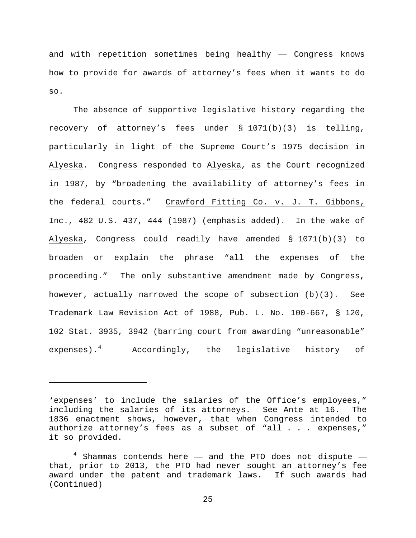and with repetition sometimes being healthy — Congress knows how to provide for awards of attorney's fees when it wants to do so.

The absence of supportive legislative history regarding the recovery of attorney's fees under § 1071(b)(3) is telling, particularly in light of the Supreme Court's 1975 decision in Alyeska. Congress responded to Alyeska, as the Court recognized in 1987, by "broadening the availability of attorney's fees in the federal courts." Crawford Fitting Co. v. J. T. Gibbons, Inc., 482 U.S. 437, 444 (1987) (emphasis added). In the wake of Alyeska, Congress could readily have amended § 1071(b)(3) to broaden or explain the phrase "all the expenses of the proceeding." The only substantive amendment made by Congress, however, actually narrowed the scope of subsection (b)(3). See Trademark Law Revision Act of 1988, Pub. L. No. 100-667, § 120, 102 Stat. 3935, 3942 (barring court from awarding "unreasonable" expenses).[4](#page-24-0) Accordingly, the legislative history of

Ĩ.

<sup>&#</sup>x27;expenses' to include the salaries of the Office's employees," including the salaries of its attorneys. See Ante at 16. The 1836 enactment shows, however, that when Congress intended to authorize attorney's fees as a subset of "all . . . expenses," it so provided.

<span id="page-24-0"></span> $4$  Shammas contends here  $-$  and the PTO does not dispute  $$ that, prior to 2013, the PTO had never sought an attorney's fee award under the patent and trademark laws. If such awards had (Continued)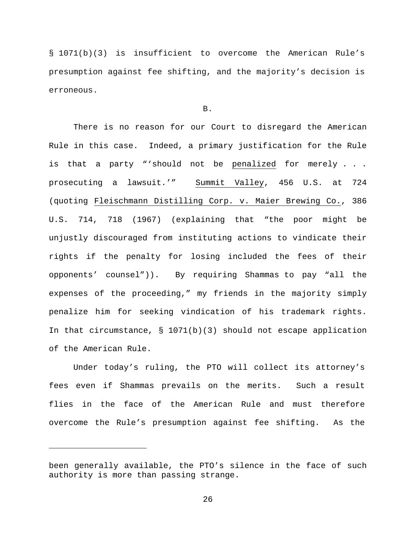§ 1071(b)(3) is insufficient to overcome the American Rule's presumption against fee shifting, and the majority's decision is erroneous.

# B.

There is no reason for our Court to disregard the American Rule in this case. Indeed, a primary justification for the Rule is that a party "'should not be penalized for merely . . . prosecuting a lawsuit.'" Summit Valley, 456 U.S. at 724 (quoting Fleischmann Distilling Corp. v. Maier Brewing Co., 386 U.S. 714, 718 (1967) (explaining that "the poor might be unjustly discouraged from instituting actions to vindicate their rights if the penalty for losing included the fees of their opponents' counsel")). By requiring Shammas to pay "all the expenses of the proceeding," my friends in the majority simply penalize him for seeking vindication of his trademark rights. In that circumstance,  $\S$  1071(b)(3) should not escape application of the American Rule.

Under today's ruling, the PTO will collect its attorney's fees even if Shammas prevails on the merits. Such a result flies in the face of the American Rule and must therefore overcome the Rule's presumption against fee shifting. As the

Ĩ.

been generally available, the PTO's silence in the face of such authority is more than passing strange.